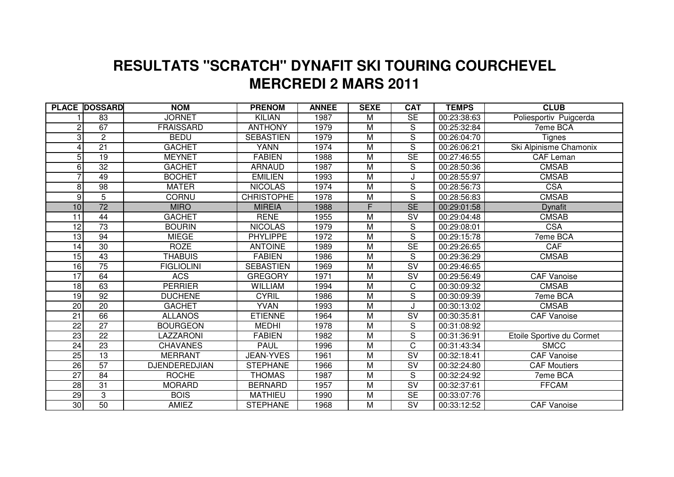## **MERCREDI 2 MARS 2011 RESULTATS "SCRATCH" DYNAFIT SKI TOURING COURCHEVEL**

|                 | <b>PLACE DOSSARD</b> | <b>NOM</b>           | <b>PRENOM</b>     | <b>ANNEE</b> | <b>SEXE</b>    | <b>CAT</b>                        | <b>TEMPS</b> | <b>CLUB</b>               |
|-----------------|----------------------|----------------------|-------------------|--------------|----------------|-----------------------------------|--------------|---------------------------|
|                 | 83                   | <b>JORNET</b>        | <b>KILIAN</b>     | 1987         | M              | SE                                | 00:23:38:63  | Poliesportiv Puigcerda    |
| 2               | 67                   | <b>FRAISSARD</b>     | <b>ANTHONY</b>    | 1979         | M              | S                                 | 00:25:32:84  | 7eme BCA                  |
| 3               | $\overline{c}$       | <b>BEDU</b>          | <b>SEBASTIEN</b>  | 1979         | M              | S                                 | 00:26:04:70  | <b>Tignes</b>             |
| 4               | $\overline{21}$      | <b>GACHET</b>        | <b>YANN</b>       | 1974         | $\overline{M}$ | $\overline{S}$                    | 00:26:06:21  | Ski Alpinisme Chamonix    |
| $\overline{5}$  | $\overline{19}$      | <b>MEYNET</b>        | <b>FABIEN</b>     | 1988         | M              | <b>SE</b>                         | 00:27:46:55  | <b>CAF Leman</b>          |
| 6               | $\overline{32}$      | <b>GACHET</b>        | <b>ARNAUD</b>     | 1987         | M              | S                                 | 00:28:50:36  | <b>CMSAB</b>              |
|                 | 49                   | <b>BOCHET</b>        | <b>EMILIEN</b>    | 1993         | M              | J                                 | 00:28:55:97  | <b>CMSAB</b>              |
| 8               | $\overline{98}$      | <b>MATER</b>         | <b>NICOLAS</b>    | 1974         | M              | S                                 | 00:28:56:73  | <b>CSA</b>                |
| 9               | $\overline{5}$       | <b>CORNU</b>         | <b>CHRISTOPHE</b> | 1978         | $\overline{M}$ | $\overline{\mathsf{s}}$           | 00:28:56:83  | <b>CMSAB</b>              |
| 10              | $\overline{72}$      | <b>MIRO</b>          | <b>MIREIA</b>     | 1988         | F.             | $\overline{\text{SE}}$            | 00:29:01:58  | <b>Dynafit</b>            |
| 11              | 44                   | <b>GACHET</b>        | <b>RENE</b>       | 1955         | $\overline{M}$ | $\overline{\mathsf{SV}}$          | 00:29:04:48  | <b>CMSAB</b>              |
| 12              | $\overline{73}$      | <b>BOURIN</b>        | <b>NICOLAS</b>    | 1979         | M              | S                                 | 00:29:08:01  | <b>CSA</b>                |
| $\overline{13}$ | 94                   | <b>MIEGE</b>         | <b>PHYLIPPE</b>   | 1972         | $\overline{M}$ | $\overline{S}$                    | 00:29:15:78  | 7eme BCA                  |
| 14              | 30                   | <b>ROZE</b>          | <b>ANTOINE</b>    | 1989         | M              | <b>SE</b>                         | 00:29:26:65  | CAF                       |
| 15              | 43                   | <b>THABUIS</b>       | <b>FABIEN</b>     | 1986         | M              | $\overline{S}$                    | 00:29:36:29  | <b>CMSAB</b>              |
| 16              | $\overline{75}$      | <b>FIGLIOLINI</b>    | <b>SEBASTIEN</b>  | 1969         | M              | $\overline{\mathsf{SV}}$          | 00:29:46:65  |                           |
| $\overline{17}$ | 64                   | <b>ACS</b>           | <b>GREGORY</b>    | 1971         | M              | SV                                | 00:29:56:49  | <b>CAF Vanoise</b>        |
| 18              | 63                   | <b>PERRIER</b>       | <b>WILLIAM</b>    | 1994         | M              | $\overline{\mathrm{c}}$           | 00:30:09:32  | <b>CMSAB</b>              |
| 19              | 92                   | <b>DUCHENE</b>       | <b>CYRIL</b>      | 1986         | $\overline{M}$ | $\overline{S}$                    | 00:30:09:39  | 7eme BCA                  |
| 20              | $\overline{20}$      | <b>GACHET</b>        | <b>YVAN</b>       | 1993         | $\overline{M}$ | J                                 | 00:30:13:02  | <b>CMSAB</b>              |
| $\overline{21}$ | 66                   | <b>ALLANOS</b>       | <b>ETIENNE</b>    | 1964         | $\overline{M}$ | $\overline{\mathsf{sv}}$          | 00:30:35:81  | <b>CAF Vanoise</b>        |
| $\overline{22}$ | $\overline{27}$      | <b>BOURGEON</b>      | <b>MEDHI</b>      | 1978         | $\overline{M}$ | S                                 | 00:31:08:92  |                           |
| 23              | $\overline{22}$      | <b>LAZZARONI</b>     | <b>FABIEN</b>     | 1982         | M              | $\overline{\mathsf{s}}$           | 00:31:36:91  | Etoile Sportive du Cormet |
| $\overline{24}$ | 23                   | <b>CHAVANES</b>      | <b>PAUL</b>       | 1996         | M              | $\overline{C}$                    | 00:31:43:34  | <b>SMCC</b>               |
| 25              | $\overline{13}$      | <b>MERRANT</b>       | <b>JEAN-YVES</b>  | 1961         | M              | $\overline{\mathsf{S}}\mathsf{V}$ | 00:32:18:41  | CAF Vanoise               |
| 26              | 57                   | <b>DJENDEREDJIAN</b> | <b>STEPHANE</b>   | 1966         | $\overline{M}$ | $\overline{\mathsf{SV}}$          | 00:32:24:80  | <b>CAF Moutiers</b>       |
| $\overline{27}$ | 84                   | <b>ROCHE</b>         | <b>THOMAS</b>     | 1987         | M              | $\overline{S}$                    | 00:32:24:92  | 7eme BCA                  |
| 28              | 31                   | <b>MORARD</b>        | <b>BERNARD</b>    | 1957         | M              | $\overline{\mathsf{SV}}$          | 00:32:37:61  | <b>FFCAM</b>              |
| 29              | $\overline{3}$       | <b>BOIS</b>          | <b>MATHIEU</b>    | 1990         | $\overline{M}$ | SE                                | 00:33:07:76  |                           |
| 30              | 50                   | <b>AMIEZ</b>         | <b>STEPHANE</b>   | 1968         | M              | $\overline{\mathsf{SV}}$          | 00:33:12:52  | <b>CAF Vanoise</b>        |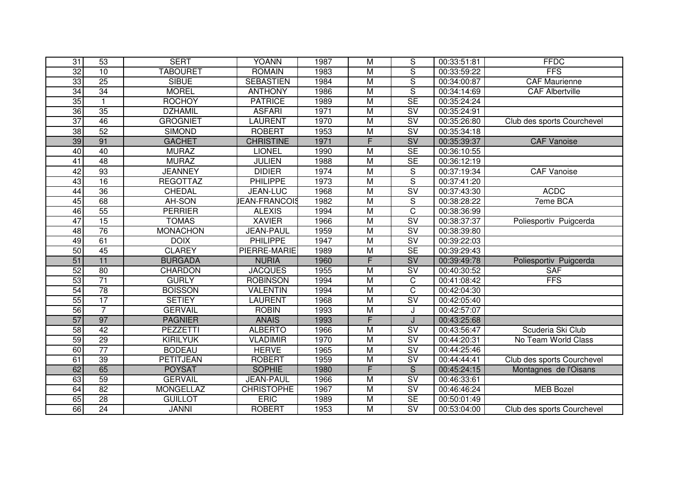| 31              | 53              | <b>SERT</b>      | <b>YOANN</b>         | 1987 | $\overline{\mathsf{M}}$ | S                                 | 00:33:51:81 | <b>FFDC</b>                |
|-----------------|-----------------|------------------|----------------------|------|-------------------------|-----------------------------------|-------------|----------------------------|
| 32              | 10              | <b>TABOURET</b>  | <b>ROMAIN</b>        | 1983 | $\overline{M}$          | $\overline{\mathsf{s}}$           | 00:33:59:22 | <b>FFS</b>                 |
| 33              | 25              | <b>SIBUE</b>     | <b>SEBASTIEN</b>     | 1984 | M                       | $\overline{\mathsf{s}}$           | 00:34:00:87 | <b>CAF Maurienne</b>       |
| 34              | 34              | <b>MOREL</b>     | <b>ANTHONY</b>       | 1986 | M                       | $\overline{\mathsf{s}}$           | 00:34:14:69 | <b>CAF Albertville</b>     |
| 35              | $\mathbf{1}$    | <b>ROCHOY</b>    | <b>PATRICE</b>       | 1989 | $\overline{M}$          | <b>SE</b>                         | 00:35:24:24 |                            |
| 36              | $\overline{35}$ | <b>DZHAMIL</b>   | <b>ASFARI</b>        | 1971 | M                       | $\overline{\text{SV}}$            | 00:35:24:91 |                            |
| 37              | 46              | <b>GROGNIET</b>  | <b>AURENT</b>        | 1970 | $\overline{M}$          | $\overline{\mathsf{S}}\mathsf{V}$ | 00:35:26:80 | Club des sports Courchevel |
| $\overline{38}$ | $\overline{52}$ | <b>SIMOND</b>    | <b>ROBERT</b>        | 1953 | M                       | $\overline{\mathsf{SV}}$          | 00:35:34:18 |                            |
| 39              | 91              | <b>GACHET</b>    | <b>CHRISTINE</b>     | 1971 | F                       | SV                                | 00:35:39:37 | <b>CAF Vanoise</b>         |
| 40              | 40              | <b>MURAZ</b>     | <b>LIONEL</b>        | 1990 | $\overline{M}$          | $\overline{\text{SE}}$            | 00:36:10:55 |                            |
| $\overline{41}$ | 48              | <b>MURAZ</b>     | <b>JULIEN</b>        | 1988 | $\overline{M}$          | <b>SE</b>                         | 00:36:12:19 |                            |
| 42              | 93              | <b>JEANNEY</b>   | <b>DIDIER</b>        | 1974 | M                       | $\mathbf S$                       | 00:37:19:34 | CAF Vanoise                |
| 43              | 16              | <b>REGOTTAZ</b>  | <b>PHILIPPE</b>      | 1973 | M                       | $\overline{\mathsf{s}}$           | 00:37:41:20 |                            |
| 44              | $\overline{36}$ | CHEDAL           | <b>JEAN-LUC</b>      | 1968 | M                       | SV                                | 00:37:43:30 | <b>ACDC</b>                |
| 45              | 68              | AH-SON           | <b>JEAN-FRANCOIS</b> | 1982 | M                       | $\mathsf S$                       | 00:38:28:22 | 7eme BCA                   |
| 46              | 55              | <b>PERRIER</b>   | <b>ALEXIS</b>        | 1994 | $\overline{M}$          | $\overline{\text{c}}$             | 00:38:36:99 |                            |
| 47              | 15              | <b>TOMAS</b>     | <b>XAVIER</b>        | 1966 | $\overline{M}$          | $\overline{\mathsf{sv}}$          | 00:38:37:37 | Poliesportiv Puigcerda     |
| 48              | $\overline{76}$ | <b>MONACHON</b>  | <b>JEAN-PAUL</b>     | 1959 | $\overline{M}$          | $\overline{\mathsf{S}}\mathsf{V}$ | 00:38:39:80 |                            |
| 49              | 61              | <b>DOIX</b>      | <b>PHILIPPE</b>      | 1947 | $\overline{M}$          | $\overline{\mathsf{S}}\mathsf{V}$ | 00:39:22:03 |                            |
| 50              | 45              | <b>CLAREY</b>    | PIERRE-MARIE         | 1989 | M                       | SE                                | 00:39:29:43 |                            |
| 51              | 11              | <b>BURGADA</b>   | <b>NURIA</b>         | 1960 | F                       | SV                                | 00:39:49:78 | Poliesportiv Puigcerda     |
| 52              | 80              | <b>CHARDON</b>   | <b>JACQUES</b>       | 1955 | $\overline{M}$          | $\overline{\text{SV}}$            | 00:40:30:52 | <b>SAF</b>                 |
| 53              | $\overline{71}$ | <b>GURLY</b>     | <b>ROBINSON</b>      | 1994 | M                       | $\overline{\text{c}}$             | 00:41:08:42 | <b>FFS</b>                 |
| 54              | 78              | <b>BOISSON</b>   | <b>VALENTIN</b>      | 1994 | $\overline{M}$          | $\overline{\text{c}}$             | 00:42:04:30 |                            |
| 55              | 17              | <b>SETIEY</b>    | LAURENT              | 1968 | $\overline{M}$          | SV                                | 00:42:05:40 |                            |
| 56              | $\overline{7}$  | <b>GERVAIL</b>   | <b>ROBIN</b>         | 1993 | M                       | J                                 | 00:42:57:07 |                            |
| 57              | 97              | <b>PAGNIER</b>   | <b>ANAIS</b>         | 1993 | F                       | J                                 | 00:43:25:68 |                            |
| 58              | 42              | <b>PEZZETTI</b>  | <b>ALBERTO</b>       | 1966 | M                       | SV                                | 00:43:56:47 | Scuderia Ski Club          |
| 59              | 29              | <b>KIRILYUK</b>  | <b>VLADIMIR</b>      | 1970 | $\overline{M}$          | SV                                | 00:44:20:31 | No Team World Class        |
| 60              | 77              | <b>BODEAU</b>    | <b>HERVE</b>         | 1965 | $\overline{\mathsf{M}}$ | SV                                | 00:44:25:46 |                            |
| 61              | 39              | <b>PETITJEAN</b> | <b>ROBERT</b>        | 1959 | M                       | SV                                | 00:44:44:41 | Club des sports Courchevel |
| 62              | 65              | <b>POYSAT</b>    | <b>SOPHIE</b>        | 1980 | F                       | $\overline{\mathsf{s}}$           | 00:45:24:15 | Montagnes de l'Oisans      |
| 63              | 59              | <b>GERVAIL</b>   | JEAN-PAUL            | 1966 | M                       | $\overline{\text{SV}}$            | 00:46:33:61 |                            |
| 64              | $\overline{82}$ | <b>MONGELLAZ</b> | <b>CHRISTOPHE</b>    | 1967 | $\overline{M}$          | $\overline{\text{SV}}$            | 00:46:46:24 | <b>MEB Bozel</b>           |
| 65              | 28              | <b>GUILLOT</b>   | ERIC                 | 1989 | M                       | <b>SE</b>                         | 00:50:01:49 |                            |
| 66              | 24              | <b>JANNI</b>     | <b>ROBERT</b>        | 1953 | M                       | $\overline{\mathsf{SV}}$          | 00:53:04:00 | Club des sports Courchevel |